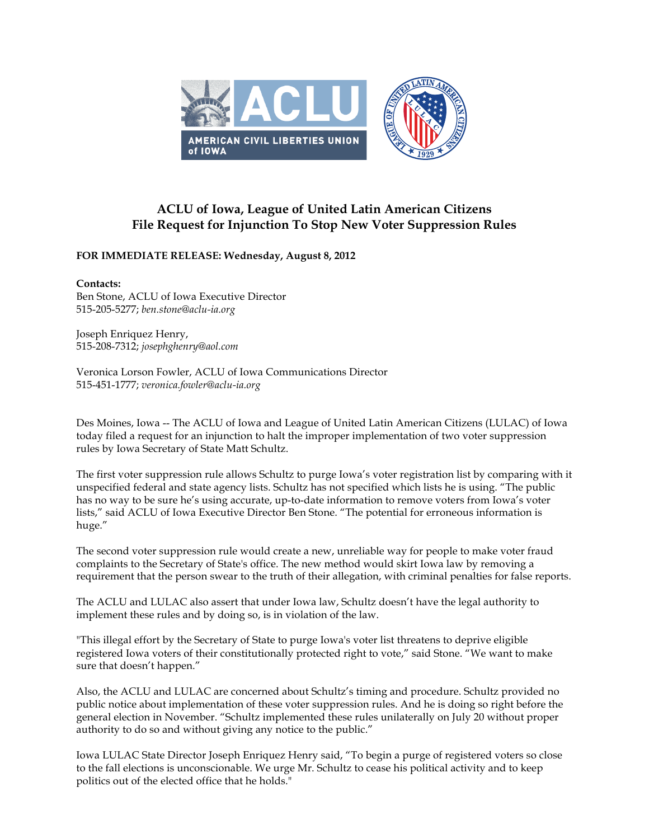

## **ACLU of Iowa, League of United Latin American Citizens File Request for Injunction To Stop New Voter Suppression Rules**

**FOR IMMEDIATE RELEASE: Wednesday, August 8, 2012**

## **Contacts:**

Ben Stone, ACLU of Iowa Executive Director 515-205-5277; *ben.stone@aclu-ia.org*

Joseph Enriquez Henry, 515-208-7312; *josephghenry@aol.com*

Veronica Lorson Fowler, ACLU of Iowa Communications Director 515-451-1777; *veronica.fowler@aclu-ia.org*

Des Moines, Iowa -- The ACLU of Iowa and League of United Latin American Citizens (LULAC) of Iowa today filed a request for an injunction to halt the improper implementation of two voter suppression rules by Iowa Secretary of State Matt Schultz.

The first voter suppression rule allows Schultz to purge Iowa's voter registration list by comparing with it unspecified federal and state agency lists. Schultz has not specified which lists he is using. "The public has no way to be sure he's using accurate, up-to-date information to remove voters from Iowa's voter lists," said ACLU of Iowa Executive Director Ben Stone. "The potential for erroneous information is huge."

The second voter suppression rule would create a new, unreliable way for people to make voter fraud complaints to the Secretary of State's office. The new method would skirt Iowa law by removing a requirement that the person swear to the truth of their allegation, with criminal penalties for false reports.

The ACLU and LULAC also assert that under Iowa law, Schultz doesn't have the legal authority to implement these rules and by doing so, is in violation of the law.

"This illegal effort by the Secretary of State to purge Iowa's voter list threatens to deprive eligible registered Iowa voters of their constitutionally protected right to vote," said Stone. "We want to make sure that doesn't happen."

Also, the ACLU and LULAC are concerned about Schultz's timing and procedure. Schultz provided no public notice about implementation of these voter suppression rules. And he is doing so right before the general election in November. "Schultz implemented these rules unilaterally on July 20 without proper authority to do so and without giving any notice to the public."

Iowa LULAC State Director Joseph Enriquez Henry said, "To begin a purge of registered voters so close to the fall elections is unconscionable. We urge Mr. Schultz to cease his political activity and to keep politics out of the elected office that he holds."